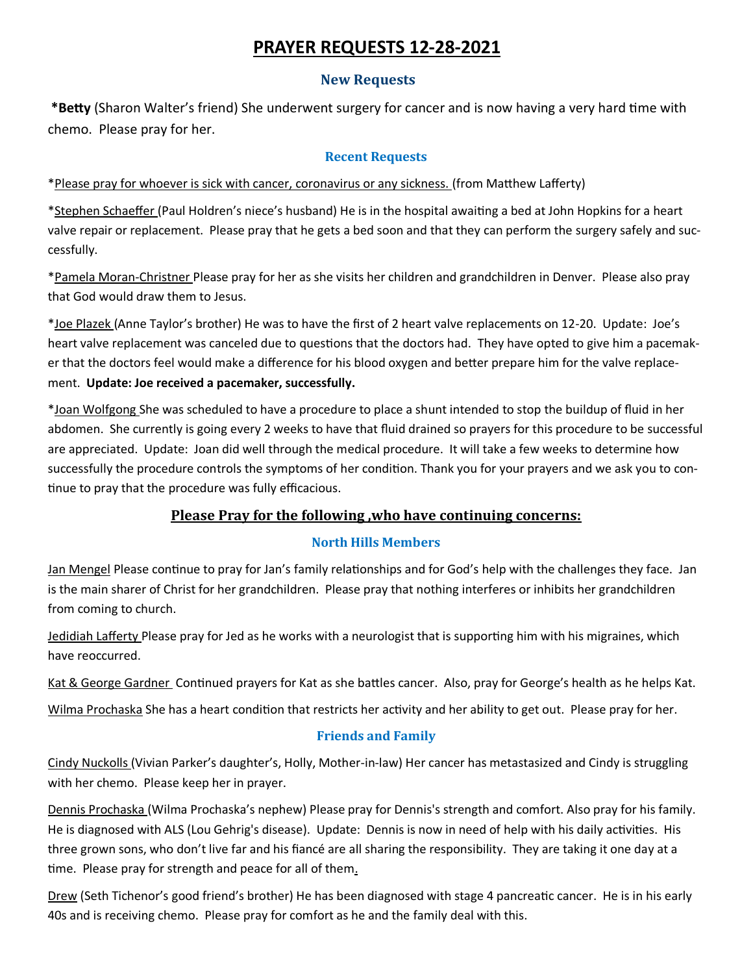# **PRAYER REQUESTS 12-28-2021**

### **New Requests**

**\*Betty** (Sharon Walter's friend) She underwent surgery for cancer and is now having a very hard time with chemo. Please pray for her.

#### **Recent Requests**

\*Please pray for whoever is sick with cancer, coronavirus or any sickness. (from Matthew Lafferty)

\*Stephen Schaeffer (Paul Holdren's niece's husband) He is in the hospital awaiting a bed at John Hopkins for a heart valve repair or replacement. Please pray that he gets a bed soon and that they can perform the surgery safely and successfully.

\*Pamela Moran-Christner Please pray for her as she visits her children and grandchildren in Denver. Please also pray that God would draw them to Jesus.

\*Joe Plazek (Anne Taylor's brother) He was to have the first of 2 heart valve replacements on 12-20. Update: Joe's heart valve replacement was canceled due to questions that the doctors had. They have opted to give him a pacemaker that the doctors feel would make a difference for his blood oxygen and better prepare him for the valve replacement. **Update: Joe received a pacemaker, successfully.**

\*Joan Wolfgong She was scheduled to have a procedure to place a shunt intended to stop the buildup of fluid in her abdomen. She currently is going every 2 weeks to have that fluid drained so prayers for this procedure to be successful are appreciated. Update: Joan did well through the medical procedure. It will take a few weeks to determine how successfully the procedure controls the symptoms of her condition. Thank you for your prayers and we ask you to continue to pray that the procedure was fully efficacious.

## **Please Pray for the following ,who have continuing concerns:**

### **North Hills Members**

Jan Mengel Please continue to pray for Jan's family relationships and for God's help with the challenges they face. Jan is the main sharer of Christ for her grandchildren. Please pray that nothing interferes or inhibits her grandchildren from coming to church.

Jedidiah Lafferty Please pray for Jed as he works with a neurologist that is supporting him with his migraines, which have reoccurred.

Kat & George Gardner Continued prayers for Kat as she battles cancer. Also, pray for George's health as he helps Kat.

Wilma Prochaska She has a heart condition that restricts her activity and her ability to get out. Please pray for her.

### **Friends and Family**

Cindy Nuckolls (Vivian Parker's daughter's, Holly, Mother-in-law) Her cancer has metastasized and Cindy is struggling with her chemo. Please keep her in prayer.

Dennis Prochaska (Wilma Prochaska's nephew) Please pray for Dennis's strength and comfort. Also pray for his family. He is diagnosed with ALS (Lou Gehrig's disease). Update: Dennis is now in need of help with his daily activities. His three grown sons, who don't live far and his fiancé are all sharing the responsibility. They are taking it one day at a time. Please pray for strength and peace for all of them.

Drew (Seth Tichenor's good friend's brother) He has been diagnosed with stage 4 pancreatic cancer. He is in his early 40s and is receiving chemo. Please pray for comfort as he and the family deal with this.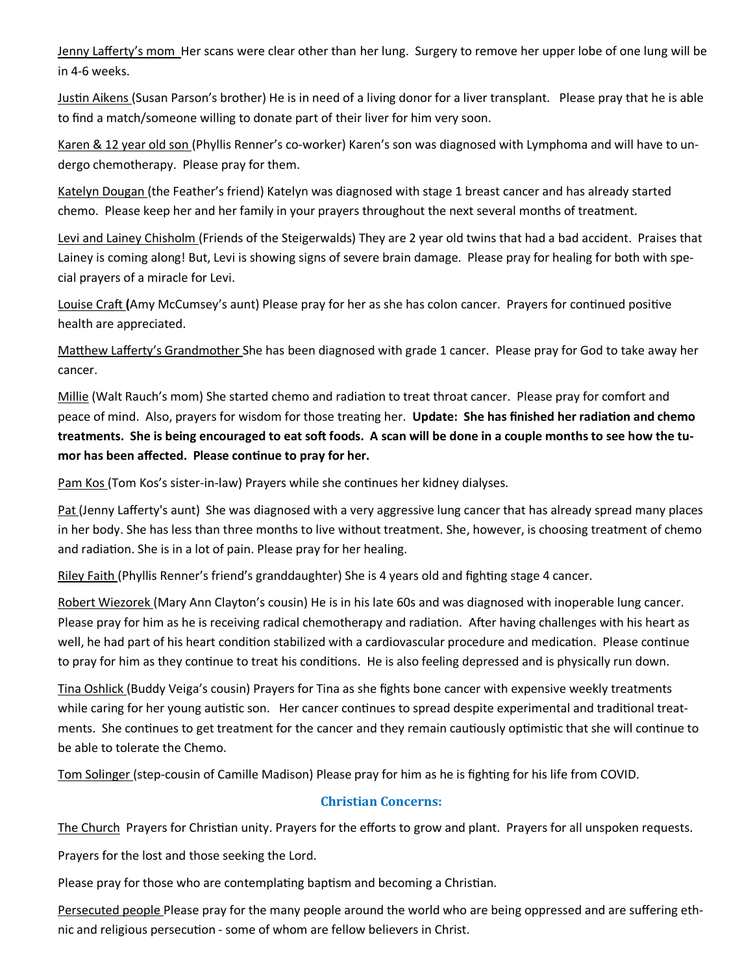Jenny Lafferty's mom Her scans were clear other than her lung. Surgery to remove her upper lobe of one lung will be in 4-6 weeks.

Justin Aikens (Susan Parson's brother) He is in need of a living donor for a liver transplant. Please pray that he is able to find a match/someone willing to donate part of their liver for him very soon.

Karen & 12 year old son (Phyllis Renner's co-worker) Karen's son was diagnosed with Lymphoma and will have to undergo chemotherapy. Please pray for them.

Katelyn Dougan (the Feather's friend) Katelyn was diagnosed with stage 1 breast cancer and has already started chemo. Please keep her and her family in your prayers throughout the next several months of treatment.

Levi and Lainey Chisholm (Friends of the Steigerwalds) They are 2 year old twins that had a bad accident. Praises that Lainey is coming along! But, Levi is showing signs of severe brain damage. Please pray for healing for both with special prayers of a miracle for Levi.

Louise Craft **(**Amy McCumsey's aunt) Please pray for her as she has colon cancer. Prayers for continued positive health are appreciated.

Matthew Lafferty's Grandmother She has been diagnosed with grade 1 cancer. Please pray for God to take away her cancer.

Millie (Walt Rauch's mom) She started chemo and radiation to treat throat cancer. Please pray for comfort and peace of mind. Also, prayers for wisdom for those treating her. **Update: She has finished her radiation and chemo treatments. She is being encouraged to eat soft foods. A scan will be done in a couple months to see how the tumor has been affected. Please continue to pray for her.**

Pam Kos (Tom Kos's sister-in-law) Prayers while she continues her kidney dialyses.

Pat (Jenny Lafferty's aunt) She was diagnosed with a very aggressive lung cancer that has already spread many places in her body. She has less than three months to live without treatment. She, however, is choosing treatment of chemo and radiation. She is in a lot of pain. Please pray for her healing.

Riley Faith (Phyllis Renner's friend's granddaughter) She is 4 years old and fighting stage 4 cancer.

Robert Wiezorek (Mary Ann Clayton's cousin) He is in his late 60s and was diagnosed with inoperable lung cancer. Please pray for him as he is receiving radical chemotherapy and radiation. After having challenges with his heart as well, he had part of his heart condition stabilized with a cardiovascular procedure and medication. Please continue to pray for him as they continue to treat his conditions. He is also feeling depressed and is physically run down.

Tina Oshlick (Buddy Veiga's cousin) Prayers for Tina as she fights bone cancer with expensive weekly treatments while caring for her young autistic son. Her cancer continues to spread despite experimental and traditional treatments. She continues to get treatment for the cancer and they remain cautiously optimistic that she will continue to be able to tolerate the Chemo.

Tom Solinger (step-cousin of Camille Madison) Please pray for him as he is fighting for his life from COVID.

### **Christian Concerns:**

The Church Prayers for Christian unity. Prayers for the efforts to grow and plant. Prayers for all unspoken requests.

Prayers for the lost and those seeking the Lord.

Please pray for those who are contemplating baptism and becoming a Christian.

Persecuted people Please pray for the many people around the world who are being oppressed and are suffering ethnic and religious persecution - some of whom are fellow believers in Christ.